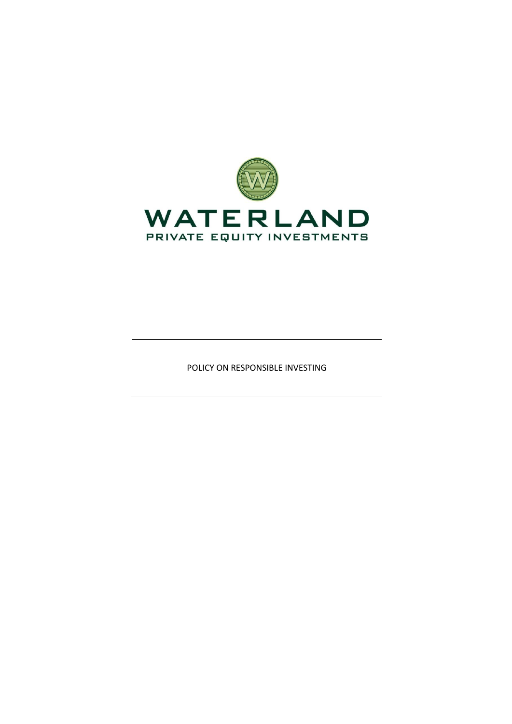

POLICY ON RESPONSIBLE INVESTING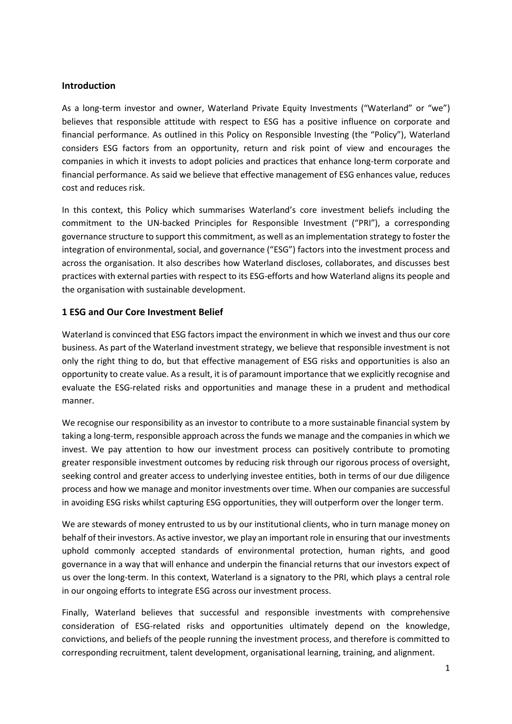#### **Introduction**

As a long-term investor and owner, Waterland Private Equity Investments ("Waterland" or "we") believes that responsible attitude with respect to ESG has a positive influence on corporate and financial performance. As outlined in this Policy on Responsible Investing (the "Policy"), Waterland considers ESG factors from an opportunity, return and risk point of view and encourages the companies in which it invests to adopt policies and practices that enhance long-term corporate and financial performance. As said we believe that effective management of ESG enhances value, reduces cost and reduces risk.

In this context, this Policy which summarises Waterland's core investment beliefs including the commitment to the UN-backed Principles for Responsible Investment ("PRI"), a corresponding governance structure to support this commitment, as well as an implementation strategy to foster the integration of environmental, social, and governance ("ESG") factors into the investment process and across the organisation. It also describes how Waterland discloses, collaborates, and discusses best practices with external parties with respect to its ESG-efforts and how Waterland aligns its people and the organisation with sustainable development.

### **1 ESG and Our Core Investment Belief**

Waterland is convinced that ESG factors impact the environment in which we invest and thus our core business. As part of the Waterland investment strategy, we believe that responsible investment is not only the right thing to do, but that effective management of ESG risks and opportunities is also an opportunity to create value. As a result, it is of paramount importance that we explicitly recognise and evaluate the ESG-related risks and opportunities and manage these in a prudent and methodical manner.

We recognise our responsibility as an investor to contribute to a more sustainable financial system by taking a long-term, responsible approach across the funds we manage and the companies in which we invest. We pay attention to how our investment process can positively contribute to promoting greater responsible investment outcomes by reducing risk through our rigorous process of oversight, seeking control and greater access to underlying investee entities, both in terms of our due diligence process and how we manage and monitor investments over time. When our companies are successful in avoiding ESG risks whilst capturing ESG opportunities, they will outperform over the longer term.

We are stewards of money entrusted to us by our institutional clients, who in turn manage money on behalf of their investors. As active investor, we play an important role in ensuring that our investments uphold commonly accepted standards of environmental protection, human rights, and good governance in a way that will enhance and underpin the financial returns that our investors expect of us over the long-term. In this context, Waterland is a signatory to the PRI, which plays a central role in our ongoing efforts to integrate ESG across our investment process.

Finally, Waterland believes that successful and responsible investments with comprehensive consideration of ESG-related risks and opportunities ultimately depend on the knowledge, convictions, and beliefs of the people running the investment process, and therefore is committed to corresponding recruitment, talent development, organisational learning, training, and alignment.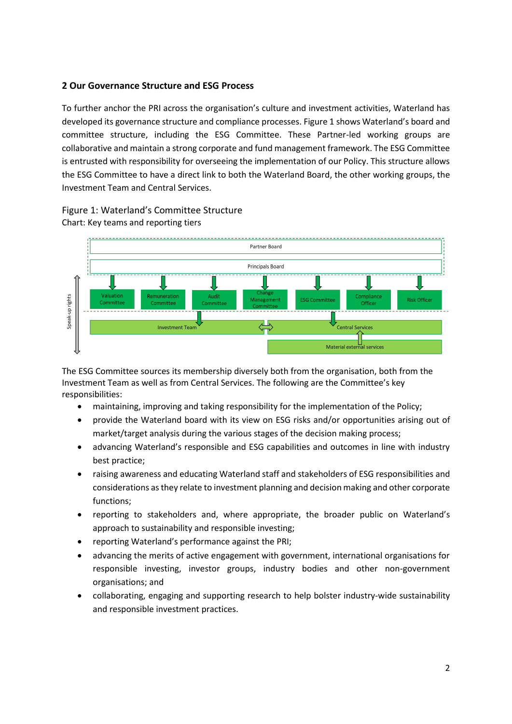## **2 Our Governance Structure and ESG Process**

To further anchor the PRI across the organisation's culture and investment activities, Waterland has developed its governance structure and compliance processes. Figure 1 shows Waterland's board and committee structure, including the ESG Committee. These Partner-led working groups are collaborative and maintain a strong corporate and fund management framework. The ESG Committee is entrusted with responsibility for overseeing the implementation of our Policy. This structure allows the ESG Committee to have a direct link to both the Waterland Board, the other working groups, the Investment Team and Central Services.

## Figure 1: Waterland's Committee Structure Chart: Key teams and reporting tiers



The ESG Committee sources its membership diversely both from the organisation, both from the Investment Team as well as from Central Services. The following are the Committee's key responsibilities:

- maintaining, improving and taking responsibility for the implementation of the Policy;
- provide the Waterland board with its view on ESG risks and/or opportunities arising out of market/target analysis during the various stages of the decision making process;
- advancing Waterland's responsible and ESG capabilities and outcomes in line with industry best practice;
- raising awareness and educating Waterland staff and stakeholders of ESG responsibilities and considerations as they relate to investment planning and decision making and other corporate functions;
- reporting to stakeholders and, where appropriate, the broader public on Waterland's approach to sustainability and responsible investing;
- reporting Waterland's performance against the PRI;
- advancing the merits of active engagement with government, international organisations for responsible investing, investor groups, industry bodies and other non-government organisations; and
- collaborating, engaging and supporting research to help bolster industry-wide sustainability and responsible investment practices.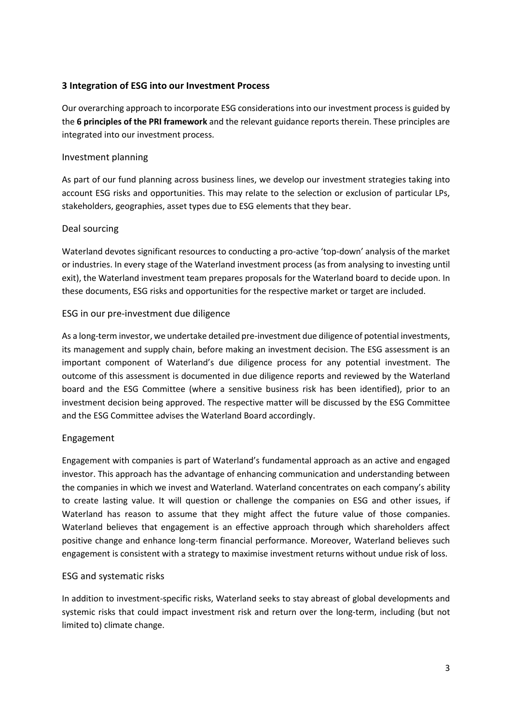# **3 Integration of ESG into our Investment Process**

Our overarching approach to incorporate ESG considerations into our investment process is guided by the **6 principles of the PRI framework** and the relevant guidance reports therein. These principles are integrated into our investment process.

### Investment planning

As part of our fund planning across business lines, we develop our investment strategies taking into account ESG risks and opportunities. This may relate to the selection or exclusion of particular LPs, stakeholders, geographies, asset types due to ESG elements that they bear.

### Deal sourcing

Waterland devotes significant resources to conducting a pro-active 'top-down' analysis of the market or industries. In every stage of the Waterland investment process (as from analysing to investing until exit), the Waterland investment team prepares proposals for the Waterland board to decide upon. In these documents, ESG risks and opportunities for the respective market or target are included.

### ESG in our pre-investment due diligence

As a long-term investor, we undertake detailed pre-investment due diligence of potential investments, its management and supply chain, before making an investment decision. The ESG assessment is an important component of Waterland's due diligence process for any potential investment. The outcome of this assessment is documented in due diligence reports and reviewed by the Waterland board and the ESG Committee (where a sensitive business risk has been identified), prior to an investment decision being approved. The respective matter will be discussed by the ESG Committee and the ESG Committee advises the Waterland Board accordingly.

### Engagement

Engagement with companies is part of Waterland's fundamental approach as an active and engaged investor. This approach has the advantage of enhancing communication and understanding between the companies in which we invest and Waterland. Waterland concentrates on each company's ability to create lasting value. It will question or challenge the companies on ESG and other issues, if Waterland has reason to assume that they might affect the future value of those companies. Waterland believes that engagement is an effective approach through which shareholders affect positive change and enhance long-term financial performance. Moreover, Waterland believes such engagement is consistent with a strategy to maximise investment returns without undue risk of loss.

#### ESG and systematic risks

In addition to investment-specific risks, Waterland seeks to stay abreast of global developments and systemic risks that could impact investment risk and return over the long-term, including (but not limited to) climate change.